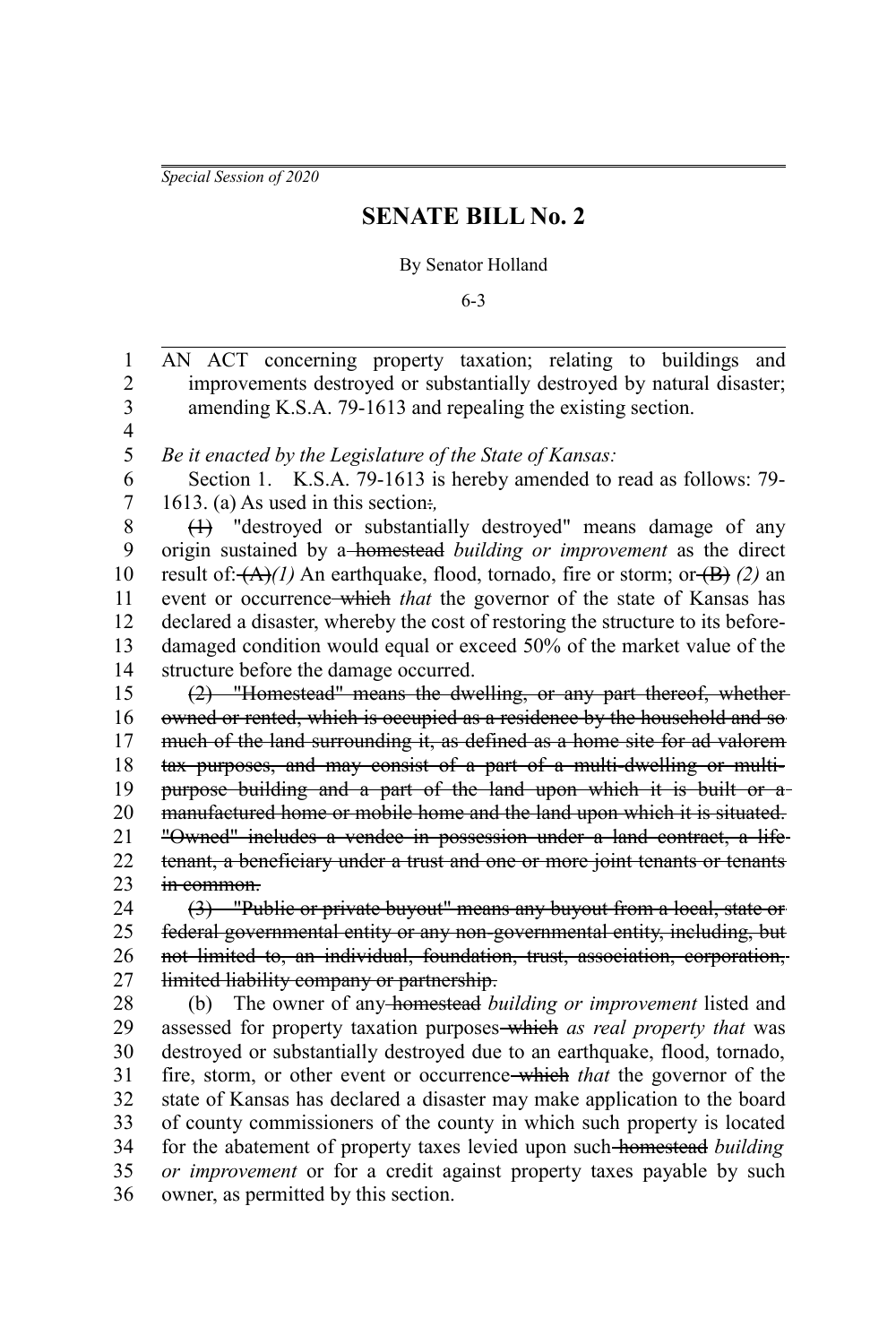*Special Session of 2020*

1

## **SENATE BILL No. 2**

## By Senator Holland

6-3

AN ACT concerning property taxation; relating to buildings and

improvements destroyed or substantially destroyed by natural disaster; amending K.S.A. 79-1613 and repealing the existing section. *Be it enacted by the Legislature of the State of Kansas:* Section 1. K.S.A. 79-1613 is hereby amended to read as follows: 79- 1613. (a) As used in this section:*,* (1) "destroyed or substantially destroyed" means damage of any origin sustained by a homestead *building or improvement* as the direct result of:  $(A)/1$  An earthquake, flood, tornado, fire or storm; or  $(B)/2$  an event or occurrence which *that* the governor of the state of Kansas has declared a disaster, whereby the cost of restoring the structure to its beforedamaged condition would equal or exceed 50% of the market value of the structure before the damage occurred. (2) "Homestead" means the dwelling, or any part thereof, whether owned or rented, which is occupied as a residence by the household and so much of the land surrounding it, as defined as a home site for ad valorem tax purposes, and may consist of a part of a multi-dwelling or multipurpose building and a part of the land upon which it is built or a manufactured home or mobile home and the land upon which it is situated. "Owned" includes a vendee in possession under a land contract, a life tenant, a beneficiary under a trust and one or more joint tenants or tenants in common. (3) "Public or private buyout" means any buyout from a local, state or federal governmental entity or any non-governmental entity, including, but not limited to, an individual, foundation, trust, association, corporation, limited liability company or partnership. (b) The owner of any homestead *building or improvement* listed and assessed for property taxation purposes which *as real property that* was destroyed or substantially destroyed due to an earthquake, flood, tornado, fire, storm, or other event or occurrence which *that* the governor of the state of Kansas has declared a disaster may make application to the board of county commissioners of the county in which such property is located for the abatement of property taxes levied upon such homestead *building or improvement* or for a credit against property taxes payable by such owner, as permitted by this section. 2 3 4 5 6 7 8 9 10 11 12 13 14 15 16 17 18 19 20 21 22 23 24 25 26 27 28 29 30 31 32 33 34 35 36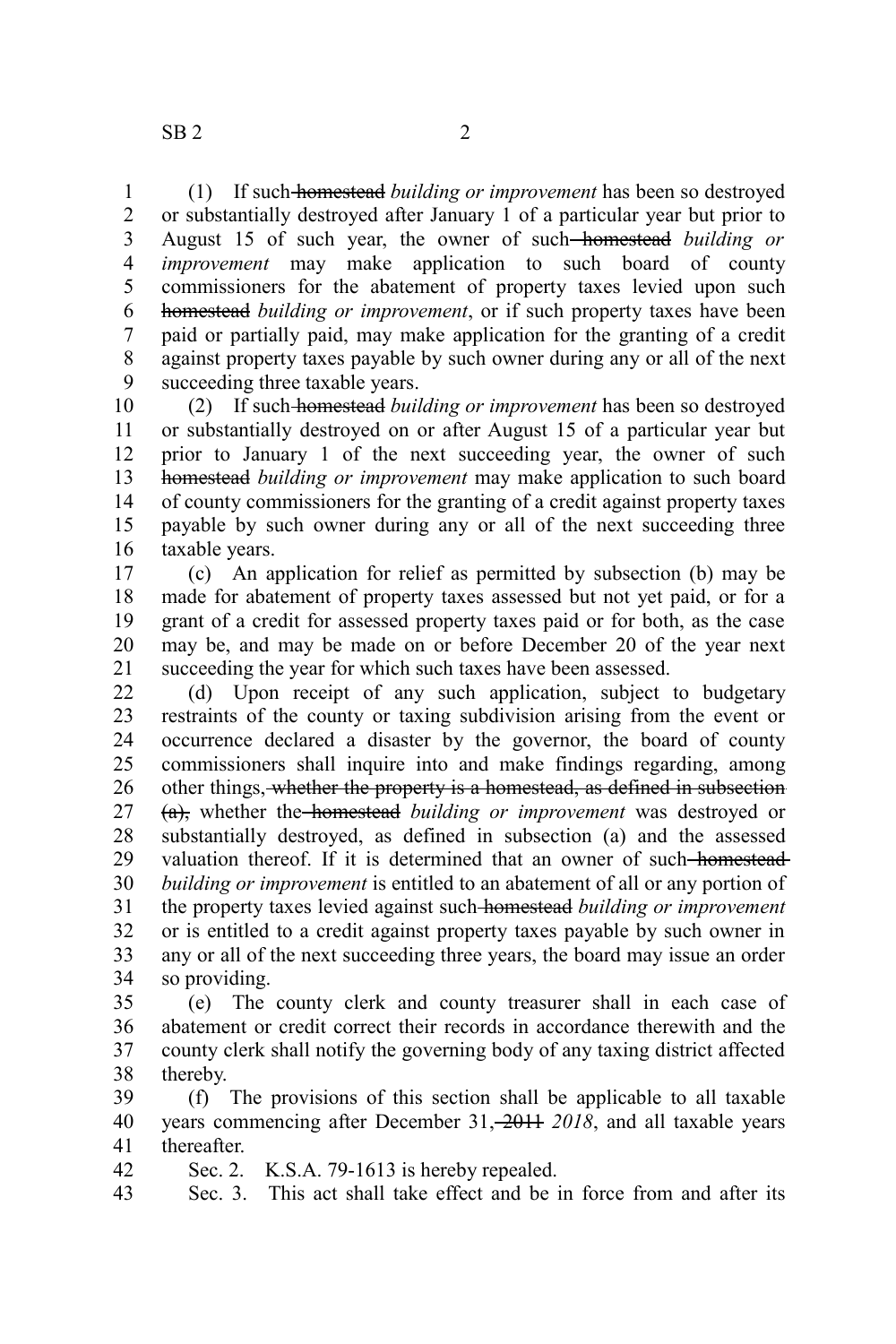(1) If such homestead *building or improvement* has been so destroyed or substantially destroyed after January 1 of a particular year but prior to August 15 of such year, the owner of such homestead *building or improvement* may make application to such board of county commissioners for the abatement of property taxes levied upon such homestead *building or improvement*, or if such property taxes have been paid or partially paid, may make application for the granting of a credit against property taxes payable by such owner during any or all of the next succeeding three taxable years. 1 2 3 4 5 6 7 8 9

(2) If such homestead *building or improvement* has been so destroyed or substantially destroyed on or after August 15 of a particular year but prior to January 1 of the next succeeding year, the owner of such homestead *building or improvement* may make application to such board of county commissioners for the granting of a credit against property taxes payable by such owner during any or all of the next succeeding three taxable years. 10 11 12 13 14 15 16

(c) An application for relief as permitted by subsection (b) may be made for abatement of property taxes assessed but not yet paid, or for a grant of a credit for assessed property taxes paid or for both, as the case may be, and may be made on or before December 20 of the year next succeeding the year for which such taxes have been assessed. 17 18 19 20 21

(d) Upon receipt of any such application, subject to budgetary restraints of the county or taxing subdivision arising from the event or occurrence declared a disaster by the governor, the board of county commissioners shall inquire into and make findings regarding, among other things, whether the property is a homestead, as defined in subsection (a), whether the homestead *building or improvement* was destroyed or substantially destroyed, as defined in subsection (a) and the assessed valuation thereof. If it is determined that an owner of such-homestead*building or improvement* is entitled to an abatement of all or any portion of the property taxes levied against such homestead *building or improvement* or is entitled to a credit against property taxes payable by such owner in any or all of the next succeeding three years, the board may issue an order so providing. 22 23 24 25 26 27 28 29 30 31 32 33 34

(e) The county clerk and county treasurer shall in each case of abatement or credit correct their records in accordance therewith and the county clerk shall notify the governing body of any taxing district affected thereby. 35 36 37 38

(f) The provisions of this section shall be applicable to all taxable years commencing after December 31, 2014 2018, and all taxable years thereafter. 39 40 41

Sec. 2. K.S.A. 79-1613 is hereby repealed. 42

Sec. 3. This act shall take effect and be in force from and after its 43